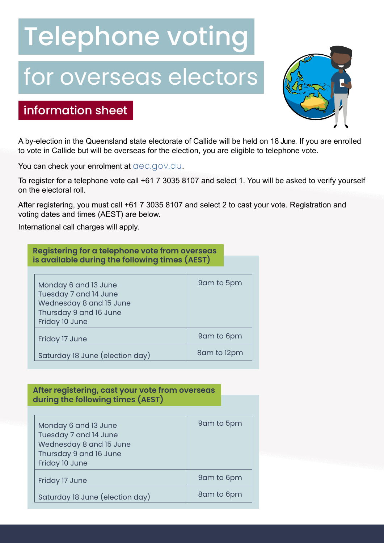# Telephone voting

# for overseas electors



## information sheet

A by-election in the Queensland state electorate of Callide will be held on 18 June. If you are enrolled to vote in Callide but will be overseas for the election, you are eligible to telephone vote.

You can check your enrolment at **allocation**. **The values** 

To register for a telephone vote call +61 7 3035 8107 and select 1. You will be asked to verify yourself on the electoral roll.

After registering, you must call +61 7 3035 8107 and select 2 to cast your vote. Registration and voting dates and times (AEST) are below.

International call charges will apply.

| Registering for a telephone vote from overseas |              |
|------------------------------------------------|--------------|
| is available during the following times (AEST) |              |
|                                                |              |
| Monday 6 and 13 June                           | 9 am to 5 pm |
| Tuesday 7 and 14 June                          |              |
| Wednesday 8 and 15 June                        |              |
| Thursday 9 and 16 June                         |              |
| Friday 10 June                                 |              |
| Friday 17 June                                 | 9am to 6pm   |
| Saturday 18 June (election day)                | 8am to 12pm  |

## **After registering, cast your vote from overseas during the following times (AEST)**

| Monday 6 and 13 June<br>Tuesday 7 and 14 June<br>Wednesday 8 and 15 June<br>Thursday 9 and 16 June<br>Friday 10 June | 9am to 5pm |
|----------------------------------------------------------------------------------------------------------------------|------------|
| Friday 17 June                                                                                                       | 9am to 6pm |
| Saturday 18 June (election day)                                                                                      | 8am to 6pm |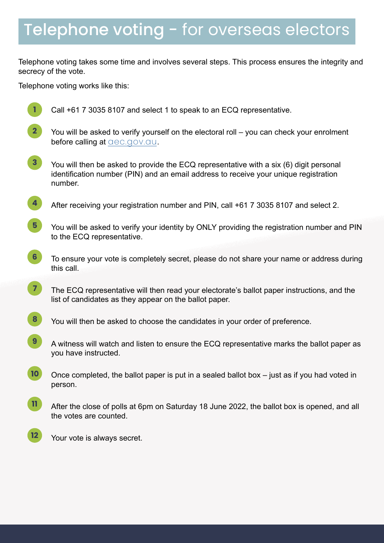# Telephone voting - for overseas electors

Telephone voting takes some time and involves several steps. This process ensures the integrity and secrecy of the vote.

Telephone voting works like this:



Call +61 7 3035 8107 and select 1 to speak to an ECQ representative.

- You will be asked to verify yourself on the electoral roll you can check your enrolment before calling at dec.gov.qu. **2**
- You will then be asked to provide the ECQ representative with a six (6) digit personal identification number (PIN) and an email address to receive your unique registration number. **3**
- After receiving your registration number and PIN, call +61 7 3035 8107 and select 2. **4**
- You will be asked to verify your identity by ONLY providing the registration number and PIN to the ECQ representative. **5**
- To ensure your vote is completely secret, please do not share your name or address during this call. **6**
- The ECQ representative will then read your electorate's ballot paper instructions, and the list of candidates as they appear on the ballot paper. **7**
- You will then be asked to choose the candidates in your order of preference. **8**
- A witness will watch and listen to ensure the ECQ representative marks the ballot paper as you have instructed. **9**
- Once completed, the ballot paper is put in a sealed ballot box just as if you had voted in person. **10**
- After the close of polls at 6pm on Saturday 18 June 2022, the ballot box is opened, and all the votes are counted. **11**
- Your vote is always secret. **12**